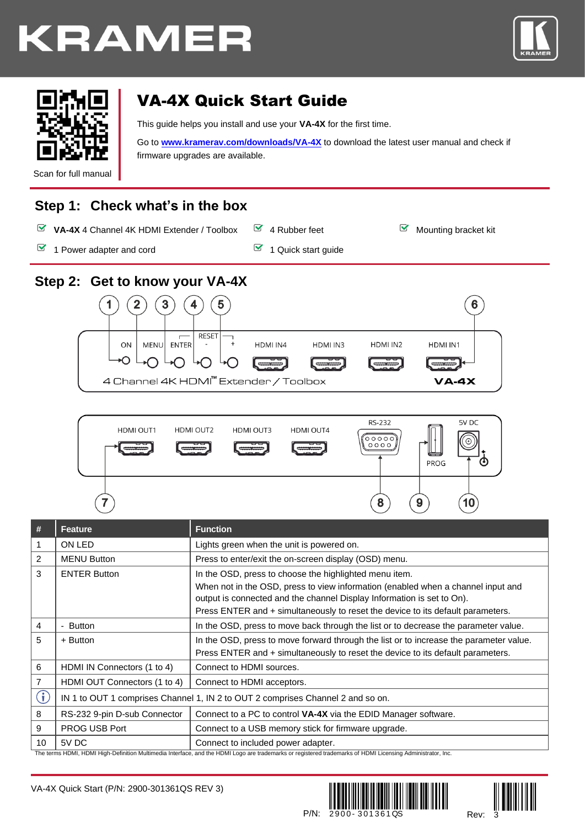# **KRAMER**





# VA-4X Quick Start Guide

This guide helps you install and use your **VA-4X** for the first time.

Go to **[www.kramerav.com/downloads/VA-4X](http://www.kramerav.com/downloads/VA-4X)** to download the latest user manual and check if firmware upgrades are available.

Scan for full manual

## **Step 1: Check what's in the box**

- **VA-4X** 4 Channel 4K HDMI Extender / Toolbox  $\bullet$  4 Rubber feet Mounting bracket kit
- $\blacksquare$  1 Power adapter and cord  $\blacksquare$  1 Quick start guide
- 
- 

**Step 2: Get to know your VA-4X**

- $\mathbf{2}$  $\overline{\mathbf{3}}$ 1 4 5  $6\phantom{1}$ RESET ON MENU ENTER HDMI IN4 HDMI IN2 HDMI IN3 HDMI IN1 ∩ ∩⊢∩ r ann an r r — 4 Channel 4K HDMI™ Extender / Toolbox  $VA-4X$
- **RS-232** 5V DC HDMI OUT1 **HDMI OUT2** HDMI OUT3 **HDMI OUT4**  $\begin{pmatrix} 0 & 0 & 0 & 0 \\ 0 & 0 & 0 & 0 \\ 0 & 0 & 0 & 0 \end{pmatrix}$ စ (φ PROG 8 9 10

| #              | Feature                                                                         | <b>Function</b>                                                                                                                                                                                                                                                                                         |
|----------------|---------------------------------------------------------------------------------|---------------------------------------------------------------------------------------------------------------------------------------------------------------------------------------------------------------------------------------------------------------------------------------------------------|
| $\mathbf{1}$   | ON LED                                                                          | Lights green when the unit is powered on.                                                                                                                                                                                                                                                               |
| 2              | <b>MENU Button</b>                                                              | Press to enter/exit the on-screen display (OSD) menu.                                                                                                                                                                                                                                                   |
| 3              | <b>ENTER Button</b>                                                             | In the OSD, press to choose the highlighted menu item.<br>When not in the OSD, press to view information (enabled when a channel input and<br>output is connected and the channel Display Information is set to On).<br>Press ENTER and + simultaneously to reset the device to its default parameters. |
| $\overline{4}$ | - Button                                                                        | In the OSD, press to move back through the list or to decrease the parameter value.                                                                                                                                                                                                                     |
| 5              | + Button                                                                        | In the OSD, press to move forward through the list or to increase the parameter value.<br>Press ENTER and + simultaneously to reset the device to its default parameters.                                                                                                                               |
| 6              | HDMI IN Connectors (1 to 4)                                                     | Connect to HDMI sources.                                                                                                                                                                                                                                                                                |
| $\overline{7}$ | HDMI OUT Connectors (1 to 4)                                                    | Connect to HDMI acceptors.                                                                                                                                                                                                                                                                              |
| $\bf(i)$       | IN 1 to OUT 1 comprises Channel 1, IN 2 to OUT 2 comprises Channel 2 and so on. |                                                                                                                                                                                                                                                                                                         |
| 8              | RS-232 9-pin D-sub Connector                                                    | Connect to a PC to control VA-4X via the EDID Manager software.                                                                                                                                                                                                                                         |
| 9              | PROG USB Port                                                                   | Connect to a USB memory stick for firmware upgrade.                                                                                                                                                                                                                                                     |
| 10             | 5V DC                                                                           | Connect to included power adapter.<br>$\mathcal{L}$ . The contract of the contract of the contract of the contract of the contract of the contract of the contract of the contract of the contract of the contract of the contract of the contract of the contract of th                                |

The terms HDMI, HDMI High-Definition Multimedia Interface, and the HDMI Logo are trademarks or registered trademarks of HDMI Licensing Administrator, Inc.